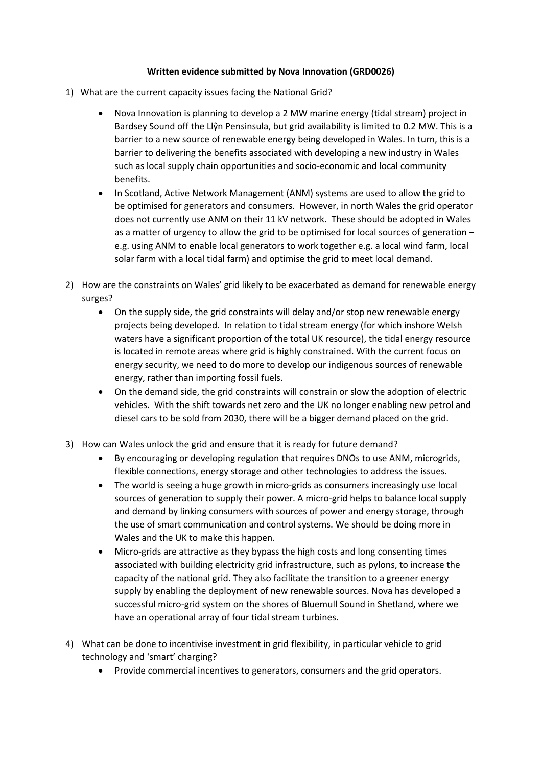## **Written evidence submitted by Nova Innovation (GRD0026)**

- 1) What are the current capacity issues facing the National Grid?
	- Nova Innovation is planning to develop a 2 MW marine energy (tidal stream) project in Bardsey Sound off the Llŷn Pensinsula, but grid availability is limited to 0.2 MW. This is a barrier to a new source of renewable energy being developed in Wales. In turn, this is a barrier to delivering the benefits associated with developing a new industry in Wales such as local supply chain opportunities and socio-economic and local community benefits.
	- In Scotland, Active Network Management (ANM) systems are used to allow the grid to be optimised for generators and consumers. However, in north Wales the grid operator does not currently use ANM on their 11 kV network. These should be adopted in Wales as a matter of urgency to allow the grid to be optimised for local sources of generation – e.g. using ANM to enable local generators to work together e.g. a local wind farm, local solar farm with a local tidal farm) and optimise the grid to meet local demand.
- 2) How are the constraints on Wales' grid likely to be exacerbated as demand for renewable energy surges?
	- On the supply side, the grid constraints will delay and/or stop new renewable energy projects being developed. In relation to tidal stream energy (for which inshore Welsh waters have a significant proportion of the total UK resource), the tidal energy resource is located in remote areas where grid is highly constrained. With the current focus on energy security, we need to do more to develop our indigenous sources of renewable energy, rather than importing fossil fuels.
	- On the demand side, the grid constraints will constrain or slow the adoption of electric vehicles. With the shift towards net zero and the UK no longer enabling new petrol and diesel cars to be sold from 2030, there will be a bigger demand placed on the grid.
- 3) How can Wales unlock the grid and ensure that it is ready for future demand?
	- By encouraging or developing regulation that requires DNOs to use ANM, microgrids, flexible connections, energy storage and other technologies to address the issues.
	- The world is seeing a huge growth in micro-grids as consumers increasingly use local sources of generation to supply their power. A micro-grid helps to balance local supply and demand by linking consumers with sources of power and energy storage, through the use of smart communication and control systems. We should be doing more in Wales and the UK to make this happen.
	- Micro-grids are attractive as they bypass the high costs and long consenting times associated with building electricity grid infrastructure, such as pylons, to increase the capacity of the national grid. They also facilitate the transition to a greener energy supply by enabling the deployment of new renewable sources. Nova has developed a successful micro-grid system on the shores of Bluemull Sound in Shetland, where we have an operational array of four tidal stream turbines.
- 4) What can be done to incentivise investment in grid flexibility, in particular vehicle to grid technology and 'smart' charging?
	- Provide commercial incentives to generators, consumers and the grid operators.